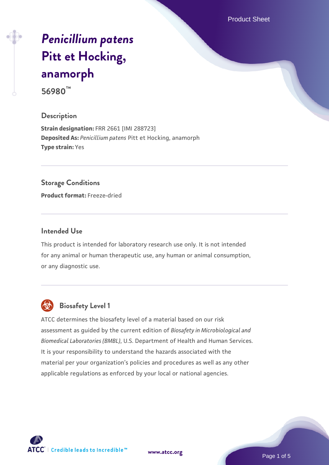Product Sheet

# *[Penicillium patens](https://www.atcc.org/products/56980)* **[Pitt et Hocking,](https://www.atcc.org/products/56980) [anamorph](https://www.atcc.org/products/56980) 56980™**

# **Description**

**Strain designation:** FRR 2661 [IMI 288723] **Deposited As:** *Penicillium patens* Pitt et Hocking, anamorph **Type strain:** Yes

#### **Storage Conditions**

**Product format:** Freeze-dried

#### **Intended Use**

This product is intended for laboratory research use only. It is not intended for any animal or human therapeutic use, any human or animal consumption, or any diagnostic use.



# **Biosafety Level 1**

ATCC determines the biosafety level of a material based on our risk assessment as guided by the current edition of *Biosafety in Microbiological and Biomedical Laboratories (BMBL)*, U.S. Department of Health and Human Services. It is your responsibility to understand the hazards associated with the material per your organization's policies and procedures as well as any other applicable regulations as enforced by your local or national agencies.

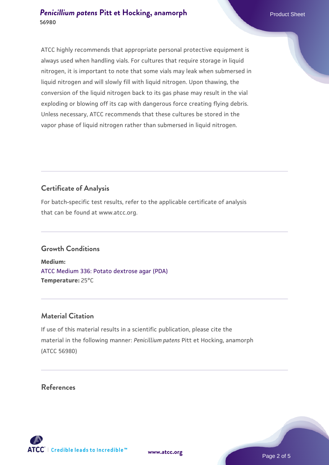ATCC highly recommends that appropriate personal protective equipment is always used when handling vials. For cultures that require storage in liquid nitrogen, it is important to note that some vials may leak when submersed in liquid nitrogen and will slowly fill with liquid nitrogen. Upon thawing, the conversion of the liquid nitrogen back to its gas phase may result in the vial exploding or blowing off its cap with dangerous force creating flying debris. Unless necessary, ATCC recommends that these cultures be stored in the vapor phase of liquid nitrogen rather than submersed in liquid nitrogen.

# **Certificate of Analysis**

For batch-specific test results, refer to the applicable certificate of analysis that can be found at www.atcc.org.

## **Growth Conditions**

**Medium:**  [ATCC Medium 336: Potato dextrose agar \(PDA\)](https://www.atcc.org/-/media/product-assets/documents/microbial-media-formulations/3/3/6/atcc-medium-336.pdf?rev=d9160ad44d934cd8b65175461abbf3b9) **Temperature:** 25°C

## **Material Citation**

If use of this material results in a scientific publication, please cite the material in the following manner: *Penicillium patens* Pitt et Hocking, anamorph (ATCC 56980)

## **References**



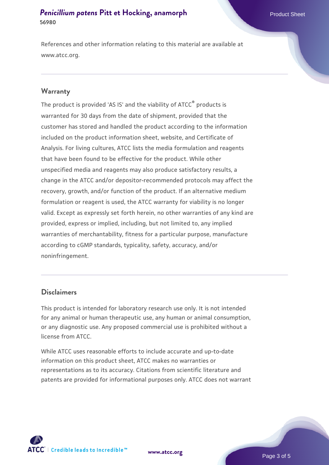References and other information relating to this material are available at www.atcc.org.

#### **Warranty**

The product is provided 'AS IS' and the viability of ATCC® products is warranted for 30 days from the date of shipment, provided that the customer has stored and handled the product according to the information included on the product information sheet, website, and Certificate of Analysis. For living cultures, ATCC lists the media formulation and reagents that have been found to be effective for the product. While other unspecified media and reagents may also produce satisfactory results, a change in the ATCC and/or depositor-recommended protocols may affect the recovery, growth, and/or function of the product. If an alternative medium formulation or reagent is used, the ATCC warranty for viability is no longer valid. Except as expressly set forth herein, no other warranties of any kind are provided, express or implied, including, but not limited to, any implied warranties of merchantability, fitness for a particular purpose, manufacture according to cGMP standards, typicality, safety, accuracy, and/or noninfringement.

#### **Disclaimers**

This product is intended for laboratory research use only. It is not intended for any animal or human therapeutic use, any human or animal consumption, or any diagnostic use. Any proposed commercial use is prohibited without a license from ATCC.

While ATCC uses reasonable efforts to include accurate and up-to-date information on this product sheet, ATCC makes no warranties or representations as to its accuracy. Citations from scientific literature and patents are provided for informational purposes only. ATCC does not warrant

**[www.atcc.org](http://www.atcc.org)**



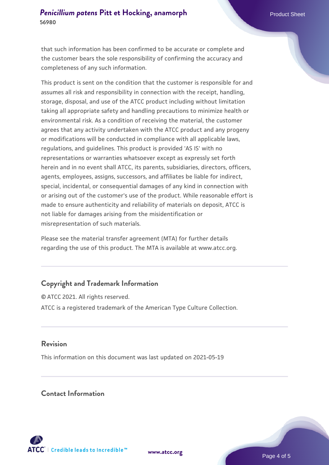that such information has been confirmed to be accurate or complete and the customer bears the sole responsibility of confirming the accuracy and completeness of any such information.

This product is sent on the condition that the customer is responsible for and assumes all risk and responsibility in connection with the receipt, handling, storage, disposal, and use of the ATCC product including without limitation taking all appropriate safety and handling precautions to minimize health or environmental risk. As a condition of receiving the material, the customer agrees that any activity undertaken with the ATCC product and any progeny or modifications will be conducted in compliance with all applicable laws, regulations, and guidelines. This product is provided 'AS IS' with no representations or warranties whatsoever except as expressly set forth herein and in no event shall ATCC, its parents, subsidiaries, directors, officers, agents, employees, assigns, successors, and affiliates be liable for indirect, special, incidental, or consequential damages of any kind in connection with or arising out of the customer's use of the product. While reasonable effort is made to ensure authenticity and reliability of materials on deposit, ATCC is not liable for damages arising from the misidentification or misrepresentation of such materials.

Please see the material transfer agreement (MTA) for further details regarding the use of this product. The MTA is available at www.atcc.org.

## **Copyright and Trademark Information**

© ATCC 2021. All rights reserved. ATCC is a registered trademark of the American Type Culture Collection.

## **Revision**

This information on this document was last updated on 2021-05-19

## **Contact Information**



**[www.atcc.org](http://www.atcc.org)**